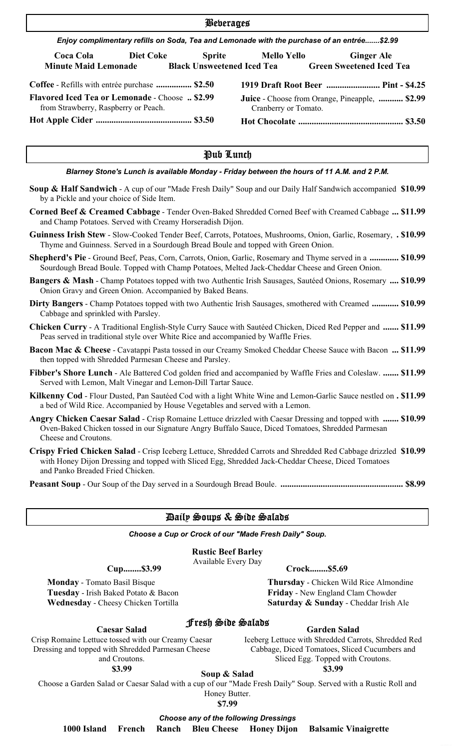| <b>Beberages</b>                                                                              |                  |                                                                                            |                                                                               |  |                                     |  |  |  |
|-----------------------------------------------------------------------------------------------|------------------|--------------------------------------------------------------------------------------------|-------------------------------------------------------------------------------|--|-------------------------------------|--|--|--|
|                                                                                               |                  | Enjoy complimentary refills on Soda, Tea and Lemonade with the purchase of an entrée\$2.99 |                                                                               |  |                                     |  |  |  |
| <b>Coca Cola</b><br>Minute Maid Lemonade Black Unsweetened Iced Tea Green Sweetened Iced Tea  | <b>Diet Coke</b> |                                                                                            | Sprite Mello Yello                                                            |  | <b>Ginger Ale</b>                   |  |  |  |
| Coffee - Refills with entrée purchase  \$2.50                                                 |                  |                                                                                            |                                                                               |  | 1919 Draft Root Beer  Pint - \$4.25 |  |  |  |
| <b>Flavored Iced Tea or Lemonade - Choose  \$2.99</b><br>from Strawberry, Raspberry or Peach. |                  |                                                                                            | <b>Juice</b> - Choose from Orange, Pineapple,  \$2.99<br>Cranberry or Tomato. |  |                                     |  |  |  |
|                                                                                               |                  |                                                                                            |                                                                               |  |                                     |  |  |  |

#### Pub Lunch

#### *Blarney Stone's Lunch is available Monday - Friday between the hours of 11 A.M. and 2 P.M.*

- **Soup & Half Sandwich** A cup of our "Made Fresh Daily" Soup and our Daily Half Sandwich accompanied **\$10.99** by a Pickle and your choice of Side Item.
- **Corned Beef & Creamed Cabbage** Tender Oven-Baked Shredded Corned Beef with Creamed Cabbage **... \$11.99** and Champ Potatoes. Served with Creamy Horseradish Dijon.
- **Guinness Irish Stew** Slow-Cooked Tender Beef, Carrots, Potatoes, Mushrooms, Onion, Garlic, Rosemary, **. \$10.99** Thyme and Guinness. Served in a Sourdough Bread Boule and topped with Green Onion.
- **Shepherd's Pie** Ground Beef, Peas, Corn, Carrots, Onion, Garlic, Rosemary and Thyme served in a **............. \$10.99** Sourdough Bread Boule. Topped with Champ Potatoes, Melted Jack-Cheddar Cheese and Green Onion.
- **Bangers & Mash** Champ Potatoes topped with two Authentic Irish Sausages, Sautéed Onions, Rosemary **.... \$10.99** Onion Gravy and Green Onion. Accompanied by Baked Beans.
- **Dirty Bangers** Champ Potatoes topped with two Authentic Irish Sausages, smothered with Creamed **............ \$10.99** Cabbage and sprinkled with Parsley.
- **Chicken Curry** A Traditional English-Style Curry Sauce with Sautéed Chicken, Diced Red Pepper and **....... \$11.99** Peas served in traditional style over White Rice and accompanied by Waffle Fries.
- **Bacon Mac & Cheese** Cavatappi Pasta tossed in our Creamy Smoked Cheddar Cheese Sauce with Bacon **... \$11.99** then topped with Shredded Parmesan Cheese and Parsley.
- **Fibber's Shore Lunch** Ale Battered Cod golden fried and accompanied by Waffle Fries and Coleslaw. **....... \$11.99** Served with Lemon, Malt Vinegar and Lemon-Dill Tartar Sauce.
- **Kilkenny Cod** Flour Dusted, Pan Sautéed Cod with a light White Wine and Lemon-Garlic Sauce nestled on **. \$11.99** a bed of Wild Rice. Accompanied by House Vegetables and served with a Lemon.
- **Angry Chicken Caesar Salad** Crisp Romaine Lettuce drizzled with Caesar Dressing and topped with **....... \$10.99** Oven-Baked Chicken tossed in our Signature Angry Buffalo Sauce, Diced Tomatoes, Shredded Parmesan Cheese and Croutons.
- **Crispy Fried Chicken Salad** Crisp Iceberg Lettuce, Shredded Carrots and Shredded Red Cabbage drizzled **\$10.99** with Honey Dijon Dressing and topped with Sliced Egg, Shredded Jack-Cheddar Cheese, Diced Tomatoes and Panko Breaded Fried Chicken.
- **Peasant Soup** Our Soup of the Day served in a Sourdough Bread Boule. **....................................................... \$8.99**

#### Daily Soups & Side Salads

*Choose a Cup or Crock of our "Made Fresh Daily" Soup.*

#### **Rustic Beef Barley**

Available Every Day

**Cup........\$3.99 Crock........\$5.69**

**Monday** - Tomato Basil Bisque Thursday - Chicken Wild Rice Almondine **Tuesday** - Irish Baked Potato & Bacon **Friday** - New England Clam Chowder  **Wednesday** - Cheesy Chicken Tortilla Saturday & Sunday - Cheddar Irish Ale

**Caesar Salad**

Crisp Romaine Lettuce tossed with our Creamy Caesar Dressing and topped with Shredded Parmesan Cheese and Croutons.

**\$3.99**

Fresh Side Salads

Iceberg Lettuce with Shredded Carrots, Shredded Red Cabbage, Diced Tomatoes, Sliced Cucumbers and Sliced Egg. Topped with Croutons. **\$3.99 Soup & Salad**

**Garden Salad**

Choose a Garden Salad or Caesar Salad with a cup of our "Made Fresh Daily" Soup. Served with a Rustic Roll and Honey Butter.

**\$7.99**

*Choose any of the following Dressings*

 **1000 Island French Ranch Bleu Cheese Honey Dijon Balsamic Vinaigrette**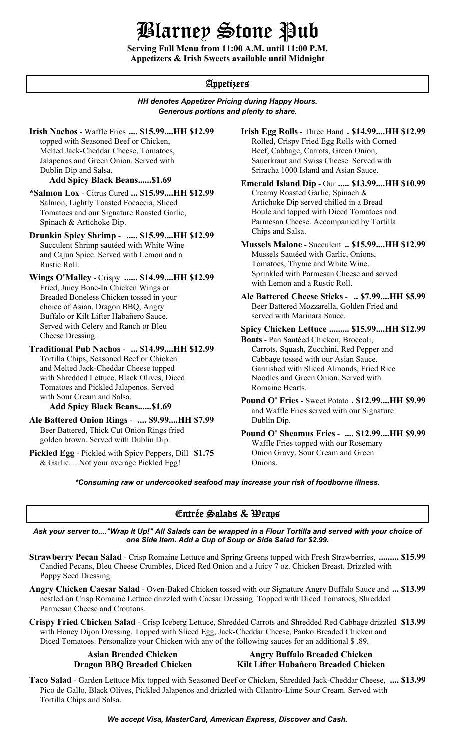# Blarney Stone Pub

**Serving Full Menu from 11:00 A.M. until 11:00 P.M. Appetizers & Irish Sweets available until Midnight**

### Appetizers

#### *HH denotes Appetizer Pricing during Happy Hours. Generous portions and plenty to share.*

**Irish Nachos** - Waffle Fries .... \$15.99....HH \$12.99 topped with Seasoned Beef or Chicken, Melted Jack-Cheddar Cheese, Tomatoes, Jalapenos and Green Onion. Served with Dublin Dip and Salsa.

#### **Add Spicy Black Beans......\$1.69**

**\*Salmon Lox** - Citrus Cured **... \$15.99....HH \$12.99** Salmon, Lightly Toasted Focaccia, Sliced Tomatoes and our Signature Roasted Garlic, Spinach & Artichoke Dip.

**Drunkin Spicy Shrimp** - **..... \$15.99....HH \$12.99** Succulent Shrimp sautéed with White Wine and Cajun Spice. Served with Lemon and a Rustic Roll.

**Wings O'Malley** - Crispy **...... \$14.99....HH \$12.99** Fried, Juicy Bone-In Chicken Wings or Breaded Boneless Chicken tossed in your choice of Asian, Dragon BBQ, Angry Buffalo or Kilt Lifter Habañero Sauce. Served with Celery and Ranch or Bleu Cheese Dressing.

**Traditional Pub Nachos** - **... \$14.99....HH \$12.99** Tortilla Chips, Seasoned Beef or Chicken and Melted Jack-Cheddar Cheese topped with Shredded Lettuce, Black Olives, Diced Tomatoes and Pickled Jalapenos. Served with Sour Cream and Salsa.

**Ale Battered Onion Rings** - **.... \$9.99....HH \$7.99** Beer Battered, Thick Cut Onion Rings fried golden brown. Served with Dublin Dip.

**Pickled Egg** - Pickled with Spicy Peppers, Dill **\$1.75** & Garlic.....Not your average Pickled Egg!

**.... \$15.99....HH \$12.99 Irish Egg Rolls** - Three Hand **. \$14.99....HH \$12.99** Rolled, Crispy Fried Egg Rolls with Corned Beef, Cabbage, Carrots, Green Onion, Sauerkraut and Swiss Cheese. Served with

Sriracha 1000 Island and Asian Sauce.

Creamy Roasted Garlic, Spinach & Artichoke Dip served chilled in a Bread Boule and topped with Diced Tomatoes and Parmesan Cheese. Accompanied by Tortilla Chips and Salsa. **Emerald Island Dip - Our ..... \$13.99....HH \$10.99** 

#### **Mussels Malone** - Succulent **.. \$15.99....HH \$12.99** Mussels Sautéed with Garlic, Onions, Tomatoes, Thyme and White Wine. Sprinkled with Parmesan Cheese and served with Lemon and a Rustic Roll.

**Ale Battered Cheese Sticks** - **.. \$7.99....HH \$5.99** Beer Battered Mozzarella, Golden Fried and served with Marinara Sauce.

**Spicy Chicken Lettuce ......... \$15.99....HH \$12.99**

**Boats** - Pan Sautéed Chicken, Broccoli, Carrots, Squash, Zucchini, Red Pepper and Cabbage tossed with our Asian Sauce. Garnished with Sliced Almonds, Fried Rice Noodles and Green Onion. Served with Romaine Hearts.

**Pound O' Fries** - Sweet Potato . \$12.99....HH \$9.99<br>Add Spicy Black Beans......\$1.69<br>and Waffle Fries served with our Signature and Waffle Fries served with our Signature Dublin Dip.

> **Pound O' Sheamus Fries** - **.... \$12.99....HH \$9.99** Waffle Fries topped with our Rosemary Onion Gravy, Sour Cream and Green Onions.

*\*Consuming raw or undercooked seafood may increase your risk of foodborne illness.*

### Entrée Salads & Wraps

*Ask your server to...."Wrap It Up!" All Salads can be wrapped in a Flour Tortilla and served with your choice of one Side Item. Add a Cup of Soup or Side Salad for \$2.99.*

- **Strawberry Pecan Salad** Crisp Romaine Lettuce and Spring Greens topped with Fresh Strawberries, **......... \$15.99** Candied Pecans, Bleu Cheese Crumbles, Diced Red Onion and a Juicy 7 oz. Chicken Breast. Drizzled with Poppy Seed Dressing.
- **Angry Chicken Caesar Salad** Oven-Baked Chicken tossed with our Signature Angry Buffalo Sauce and **... \$13.99** nestled on Crisp Romaine Lettuce drizzled with Caesar Dressing. Topped with Diced Tomatoes, Shredded Parmesan Cheese and Croutons.
- **Crispy Fried Chicken Salad** Crisp Iceberg Lettuce, Shredded Carrots and Shredded Red Cabbage drizzled **\$13.99** with Honey Dijon Dressing. Topped with Sliced Egg, Jack-Cheddar Cheese, Panko Breaded Chicken and Diced Tomatoes. Personalize your Chicken with any of the following sauces for an additional \$ .89.

### Asian Breaded Chicken **Angry Buffalo Breaded Chicken Dragon BBQ Breaded Chicken Kilt Lifter Habañero Breaded Chicken**

**Taco Salad** - Garden Lettuce Mix topped with Seasoned Beef or Chicken, Shredded Jack-Cheddar Cheese, **.... \$13.99** Pico de Gallo, Black Olives, Pickled Jalapenos and drizzled with Cilantro-Lime Sour Cream. Served with Tortilla Chips and Salsa.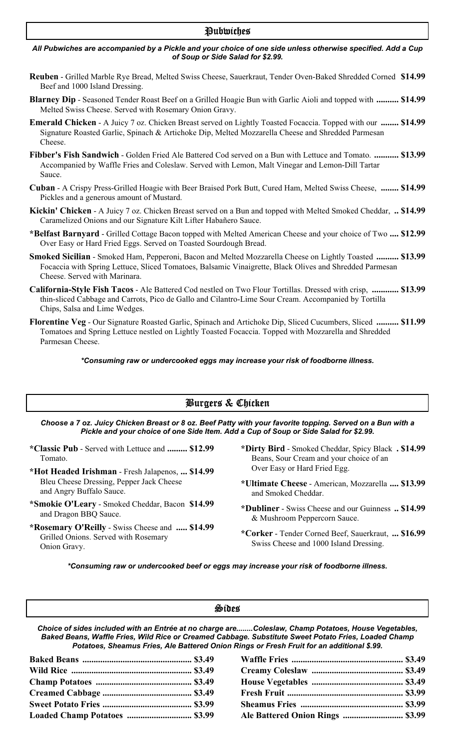#### Pubwiches

#### *All Pubwiches are accompanied by a Pickle and your choice of one side unless otherwise specified. Add a Cup of Soup or Side Salad for \$2.99.*

- **Reuben** Grilled Marble Rye Bread, Melted Swiss Cheese, Sauerkraut, Tender Oven-Baked Shredded Corned **\$14.99** Beef and 1000 Island Dressing.
- **Blarney Dip** Seasoned Tender Roast Beef on a Grilled Hoagie Bun with Garlic Aioli and topped with **.......... \$14.99** Melted Swiss Cheese. Served with Rosemary Onion Gravy.
- **Emerald Chicken** A Juicy 7 oz. Chicken Breast served on Lightly Toasted Focaccia. Topped with our **........ \$14.99** Signature Roasted Garlic, Spinach & Artichoke Dip, Melted Mozzarella Cheese and Shredded Parmesan Cheese.
- **Fibber's Fish Sandwich** Golden Fried Ale Battered Cod served on a Bun with Lettuce and Tomato. **........... \$13.99** Accompanied by Waffle Fries and Coleslaw. Served with Lemon, Malt Vinegar and Lemon-Dill Tartar Sauce.
- **Cuban** A Crispy Press-Grilled Hoagie with Beer Braised Pork Butt, Cured Ham, Melted Swiss Cheese, **........ \$14.99** Pickles and a generous amount of Mustard.
- **Kickin' Chicken** A Juicy 7 oz. Chicken Breast served on a Bun and topped with Melted Smoked Cheddar, **.. \$14.99** Caramelized Onions and our Signature Kilt Lifter Habañero Sauce.
- **\*Belfast Barnyard** Grilled Cottage Bacon topped with Melted American Cheese and your choice of Two **.... \$12.99** Over Easy or Hard Fried Eggs. Served on Toasted Sourdough Bread.
- **Smoked Sicilian** Smoked Ham, Pepperoni, Bacon and Melted Mozzarella Cheese on Lightly Toasted **.......... \$13.99** Focaccia with Spring Lettuce, Sliced Tomatoes, Balsamic Vinaigrette, Black Olives and Shredded Parmesan Cheese. Served with Marinara.
- **California-Style Fish Tacos** Ale Battered Cod nestled on Two Flour Tortillas. Dressed with crisp, **............ \$13.99** thin-sliced Cabbage and Carrots, Pico de Gallo and Cilantro-Lime Sour Cream. Accompanied by Tortilla Chips, Salsa and Lime Wedges.
- **Florentine Veg** Our Signature Roasted Garlic, Spinach and Artichoke Dip, Sliced Cucumbers, Sliced **.......... \$11.99** Tomatoes and Spring Lettuce nestled on Lightly Toasted Focaccia. Topped with Mozzarella and Shredded Parmesan Cheese.

*\*Consuming raw or undercooked eggs may increase your risk of foodborne illness.*

### Burgers & Chicken

*Choose a 7 oz. Juicy Chicken Breast or 8 oz. Beef Patty with your favorite topping. Served on a Bun with a Pickle and your choice of one Side Item. Add a Cup of Soup or Side Salad for \$2.99.*

- **\*Classic Pub** Served with Lettuce and Tomato.
- **\*Hot Headed Irishman** Fresh Jalapenos, **... \$14.99** Bleu Cheese Dressing, Pepper Jack Cheese and Angry Buffalo Sauce.
- **\*Smokie O'Leary** Smoked Cheddar, Bacon and Dragon BBQ Sauce.
- **\*Rosemary O'Reilly** Swiss Cheese and **..... \$14.99** Grilled Onions. Served with Rosemary Onion Gravy.
- **......... \$12.99 \*Dirty Bird** Smoked Cheddar, Spicy Black **. \$14.99** Beans, Sour Cream and your choice of an Over Easy or Hard Fried Egg.
	- **\*Ultimate Cheese** American, Mozzarella **.... \$13.99** and Smoked Cheddar.
	- **\$14.99 \*Dubliner** Swiss Cheese and our Guinness **.. \$14.99** & Mushroom Peppercorn Sauce.
		- **\*Corker** Tender Corned Beef, Sauerkraut, **... \$16.99** Swiss Cheese and 1000 Island Dressing.

*\*Consuming raw or undercooked beef or eggs may increase your risk of foodborne illness.*

#### Sides

*Choice of sides included with an Entrée at no charge are........Coleslaw, Champ Potatoes, House Vegetables, Baked Beans, Waffle Fries, Wild Rice or Creamed Cabbage. Substitute Sweet Potato Fries, Loaded Champ Potatoes, Sheamus Fries, Ale Battered Onion Rings or Fresh Fruit for an additional \$.99.*

|  | Ale Battered Onion Rings  \$3.99 |  |
|--|----------------------------------|--|
|  |                                  |  |

| Ale Battered Onion Rings  \$3.99 |  |
|----------------------------------|--|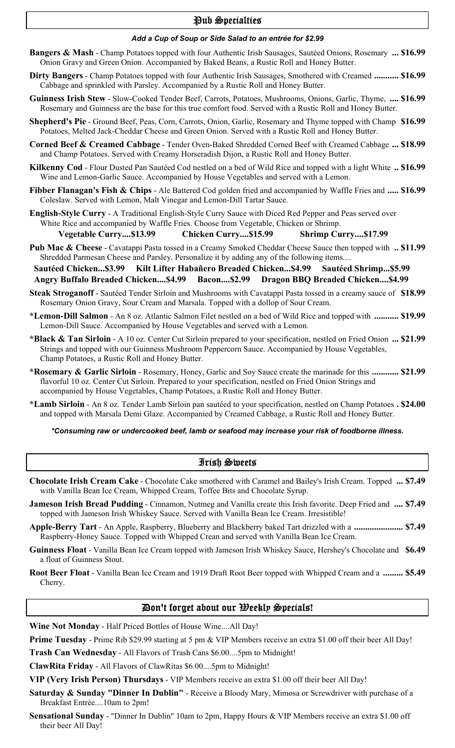#### Pub Specialties

#### *Add a Cup of Soup or Side Salad to an entrée for \$2.99*

- **Bangers & Mash** Champ Potatoes topped with four Authentic Irish Sausages, Sautéed Onions, Rosemary **... \$16.99** Onion Gravy and Green Onion. Accompanied by Baked Beans, a Rustic Roll and Honey Butter.
- **Dirty Bangers** Champ Potatoes topped with four Authentic Irish Sausages, Smothered with Creamed **........... \$16.99** Cabbage and sprinkled with Parsley. Accompanied by a Rustic Roll and Honey Butter.
- **Guinness Irish Stew** Slow-Cooked Tender Beef, Carrots, Potatoes, Mushrooms, Onions, Garlic, Thyme, **.... \$16.99** Rosemary and Guinness are the base for this true comfort food. Served with a Rustic Roll and Honey Butter.
- **Shepherd's Pie** Ground Beef, Peas, Corn, Carrots, Onion, Garlic, Rosemary and Thyme topped with Champ **\$16.99** Potatoes, Melted Jack-Cheddar Cheese and Green Onion. Served with a Rustic Roll and Honey Butter.
- **Corned Beef & Creamed Cabbage** Tender Oven-Baked Shredded Corned Beef with Creamed Cabbage **... \$18.99** and Champ Potatoes. Served with Creamy Horseradish Dijon, a Rustic Roll and Honey Butter.
- **Kilkenny Cod** Flour Dusted Pan Sautéed Cod nestled on a bed of Wild Rice and topped with a light White **.. \$16.99** Wine and Lemon-Garlic Sauce. Accompanied by House Vegetables and served with a Lemon.
- **Fibber Flanagan's Fish & Chips** Ale Battered Cod golden fried and accompanied by Waffle Fries and **..... \$16.99** Coleslaw. Served with Lemon, Malt Vinegar and Lemon-Dill Tartar Sauce.
- **English-Style Curry** A Traditional English-Style Curry Sauce with Diced Red Pepper and Peas served over White Rice and accompanied by Waffle Fries. Choose from Vegetable, Chicken or Shrimp.
- **Vegetable Curry....\$13.99 Chicken Curry....\$15.99 Shrimp Curry....\$17.99**
- **Pub Mac & Cheese** Cavatappi Pasta tossed in a Creamy Smoked Cheddar Cheese Sauce then topped with **.. \$11.99** Shredded Parmesan Cheese and Parsley. Personalize it by adding any of the following items....

 **Sautéed Chicken...\$3.99 Kilt Lifter Habañero Breaded Chicken...\$4.99 Sautéed Shrimp...\$5.99 Angry Buffalo Breaded Chicken....\$4.99 Bacon....\$2.99 Dragon BBQ Breaded Chicken....\$4.99**

- **Steak Stroganoff** Sautéed Tender Sirloin and Mushrooms with Cavatappi Pasta tossed in a creamy sauce of **\$18.99** Rosemary Onion Gravy, Sour Cream and Marsala. Topped with a dollop of Sour Cream.
- **\*Lemon-Dill Salmon** An 8 oz. Atlantic Salmon Filet nestled on a bed of Wild Rice and topped with **........... \$19.99** Lemon-Dill Sauce. Accompanied by House Vegetables and served with a Lemon.
- **\*Black & Tan Sirloin** A 10 oz. Center Cut Sirloin prepared to your specification, nestled on Fried Onion **... \$21.99** Strings and topped with our Guinness Mushroom Peppercorn Sauce. Accompanied by House Vegetables, Champ Potatoes, a Rustic Roll and Honey Butter.
- **\*Rosemary & Garlic Sirloin** Rosemary, Honey, Garlic and Soy Sauce create the marinade for this **............ \$21.99** flavorful 10 oz. Center Cut Sirloin. Prepared to your specification, nestled on Fried Onion Strings and accompanied by House Vegetables, Champ Potatoes, a Rustic Roll and Honey Butter.
- **\*Lamb Sirloin** An 8 oz. Tender Lamb Sirloin pan sautéed to your specification, nestled on Champ Potatoes **. \$24.00** and topped with Marsala Demi Glaze. Accompanied by Creamed Cabbage, a Rustic Roll and Honey Butter.

#### *\*Consuming raw or undercooked beef, lamb or seafood may increase your risk of foodborne illness.*

#### Irish Sweets

- **Chocolate Irish Cream Cake** Chocolate Cake smothered with Caramel and Bailey's Irish Cream. Topped **... \$7.49** with Vanilla Bean Ice Cream, Whipped Cream, Toffee Bits and Chocolate Syrup.
- **Jameson Irish Bread Pudding** Cinnamon, Nutmeg and Vanilla create this Irish favorite. Deep Fried and **.... \$7.49** topped with Jameson Irish Whiskey Sauce. Served with Vanilla Bean Ice Cream. Irresistible!
- **Apple-Berry Tart** An Apple, Raspberry, Blueberry and Blackberry baked Tart drizzled with a **...................... \$7.49** Raspberry-Honey Sauce. Topped with Whipped Crean and served with Vanilla Bean Ice Cream.
- **Guinness Float** Vanilla Bean Ice Cream topped with Jameson Irish Whiskey Sauce, Hershey's Chocolate and **\$6.49** a float of Guinness Stout.
- **Root Beer Float** Vanilla Bean Ice Cream and 1919 Draft Root Beer topped with Whipped Cream and a **......... \$5.49** Cherry.

#### Don't forget about our Weekly Specials!

**Wine Not Monday** - Half Priced Bottles of House Wine....All Day!

**Prime Tuesday** - Prime Rib \$29.99 starting at 5 pm & VIP Members receive an extra \$1.00 off their beer All Day!

**Trash Can Wednesday** - All Flavors of Trash Cans \$6.00....5pm to Midnight!

**ClawRita Friday** - All Flavors of ClawRitas \$6.00....5pm to Midnight!

**VIP (Very Irish Person) Thursdays** - VIP Members receive an extra \$1.00 off their beer All Day!

- **Saturday & Sunday "Dinner In Dublin"** Receive a Bloody Mary, Mimosa or Screwdriver with purchase of a Breakfast Entrée....10am to 2pm!
- **Sensational Sunday** "Dinner In Dublin" 10am to 2pm, Happy Hours & VIP Members receive an extra \$1.00 off their beer All Day!